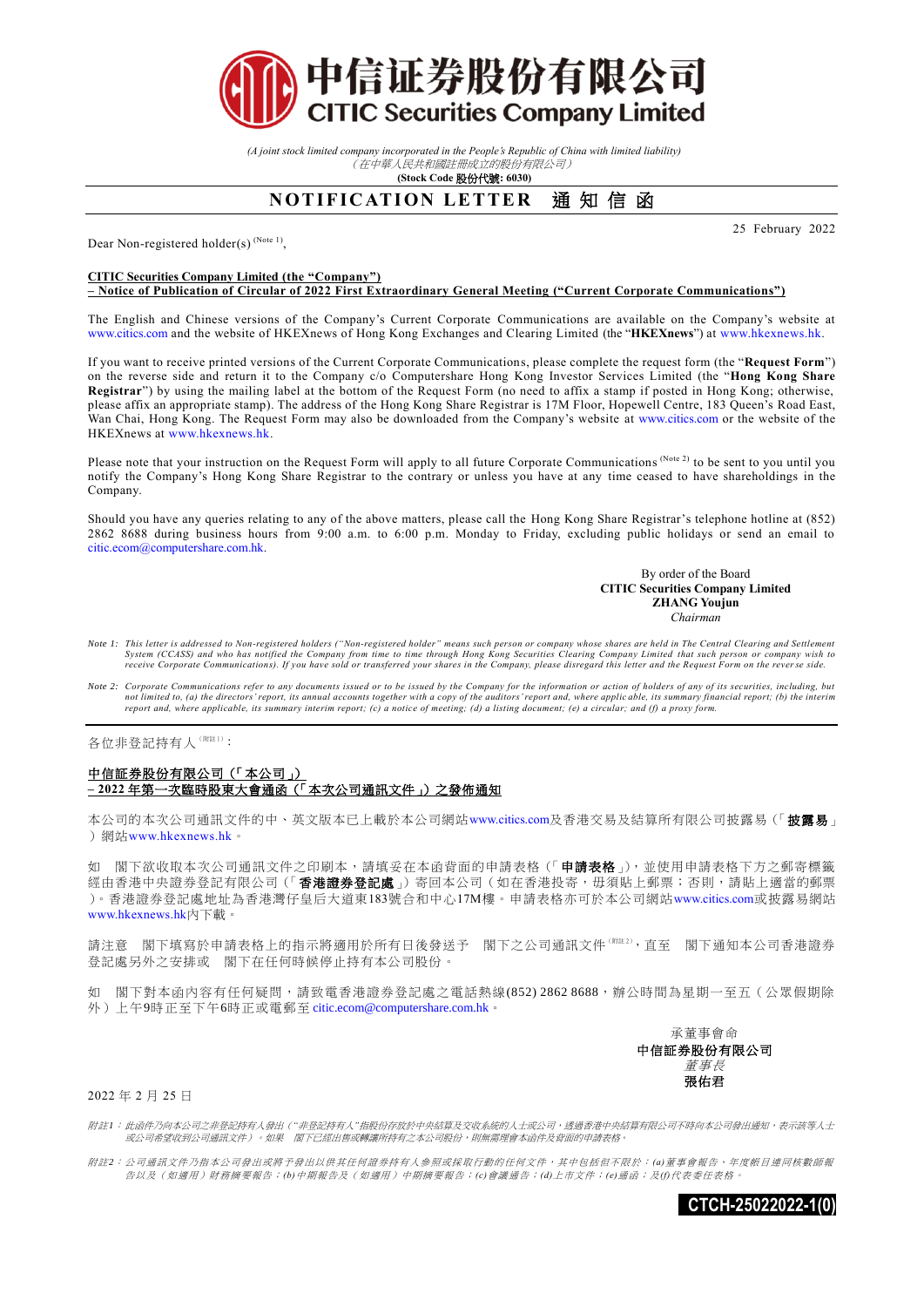

*(A joint stock limited company incorporated in the People's Republic of China with limited liability)* (在中華人民共和國註冊成立的股份有限公司)

**(Stock Code** 股份代號**: 6030)**

## **NOTIFICATION LETTER 通知信函**

Dear Non-registered holder(s)<sup>(Note 1)</sup>,

## **CITIC Securities Company Limited (the "Company")**

**– Notice of Publication of Circular of 2022 First Extraordinary General Meeting ("Current Corporate Communications")**

The English and Chinese versions of the Company's Current Corporate Communications are available on the Company's website at [www.citics.com](http://www.ctihk.com.hk/) and the website of HKEXnews of Hong Kong Exchanges and Clearing Limited (the "**HKEXnews**") at [www.hkexnews.hk.](http://www.hkexnews.hk/)

If you want to receive printed versions of the Current Corporate Communications, please complete the request form (the "**Request Form**") on the reverse side and return it to the Company c/o Computershare Hong Kong Investor Services Limited (the "**Hong Kong Share Registrar**") by using the mailing label at the bottom of the Request Form (no need to affix a stamp if posted in Hong Kong; otherwise, please affix an appropriate stamp). The address of the Hong Kong Share Registrar is 17M Floor, Hopewell Centre, 183 Queen's Road East, Wan Chai, Hong Kong. The Request Form may also be downloaded from the Company's website at [www.citics.com](http://www.ctihk.com.hk/) or the website of the HKEXnews a[t www.hkexnews.hk.](http://www.hkexnews.hk/)

Please note that your instruction on the Request Form will apply to all future Corporate Communications (Note 2) to be sent to you until you notify the Company's Hong Kong Share Registrar to the contrary or unless you have at any time ceased to have shareholdings in the Company.

Should you have any queries relating to any of the above matters, please call the Hong Kong Share Registrar's telephone hotline at (852) 2862 8688 during business hours from 9:00 a.m. to 6:00 p.m. Monday to Friday, excluding public holidays or send an email to [citic.ecom@computershare.com.hk.](mailto:%20citic.ecom@computershare.com.hk)

> By order of the Board **CITIC Securities Company Limited ZHANG Youjun**  *Chairman*

25 February 2022

- Note 1: This letter is addressed to Non-registered holders ("Non-registered holder" means such person or company whose shares are held in The Central Clearing and Settlement<br>System (CCASS) and who has notified the Company
- Note 2: Corporate Communications refer to any documents issued or to be issued by the Company for the information or action of holders of any of its securities, including, but<br>not limited to, (a) the directors' report, its

各位非登記持有人(附註1):

## 中信証券股份有限公司(「本公司」) **– 2022** 年第一次臨時股東大會通函(「本次公司通訊文件」)之發佈通知

本公司的本次公司通訊文件的中、英文版本已上載於本公司網站[www.citics.com](http://www.ctihk.com.hk/)及香港交易及結算所有限公司披露易(「披露易」 ) 網站[www.hkexnews.hk](http://www.hkexnews.hk/)。

如 閣下欲收取本次公司通訊文件之印刷本,請填妥在本函背面的申請表格(「申請表格」),並使用申請表格下方之郵寄標籤 經由香港中央證券登記有限公司(「**香港證券登記處**」)寄回本公司(如在香港投寄,毋須貼上郵票;否則,請貼上適當的郵票 )。香港證券登記處地址為香港灣仔皇后大道東183號合和中心17M樓。申請表格亦可於本公司網站[www.citics.com](http://www.ctihk.com.hk/)或披露易網站 [www.hkexnews.hk](http://www.hkexnews.hk/)內下載。

請注意 閣下填寫於申請表格上的指示將適用於所有日後發送予 閣下之公司通訊文件(《註2),有至 閣下通知本公司香港證券 登記處另外之安排或 閣下在任何時候停止持有本公司股份。

如 閣下對本函內容有任何疑問,請致電香港證券登記處之電話熱線(852) 2862 8688,辦公時間為星期一至五(公眾假期除 外)上午9時正至下午6時正或電郵至 [citic.ecom@computershare.com.hk](mailto:citic.ecom@computershare.com.hk)。

> 承董事會命 中信証券股份有限公司 董事長 張佑君

2022 年 2 月 25 日

附註*1*: 此函件乃向本公司之非登記持有人發出(*"*非登記持有人*"*指股份存放於中央結算及交收系統的人士或公司,透過香港中央結算有限公司不時向本公司發出通知,表示該等人士 或公司希望收到公司通訊文件)。如果 閣下已經出售或轉讓所持有之本公司股份,則無需理會本函件及背面的申請表格。

附註*2*: 公司通訊文件乃指本公司發出或將予發出以供其任何證券持有人參照或採取行動的任何文件,其中包括但不限於: *(a)*董事會報告、年度帳目連同核數師報 告以及(如適用)財務摘要報告;*(b)*中期報告及(如適用)中期摘要報告;*(c)*會議通告;*(d)*上市文件;*(e)*通函;及*(f)*代表委任表格。